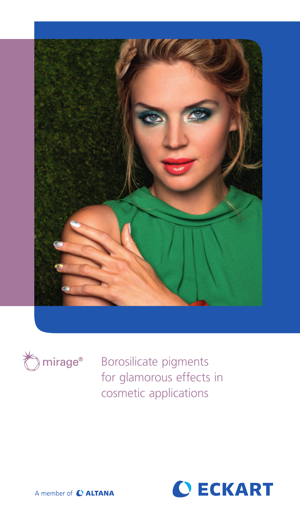



Borosilicate pigments for glamorous effects in cosmetic applications



A member of C ALTANA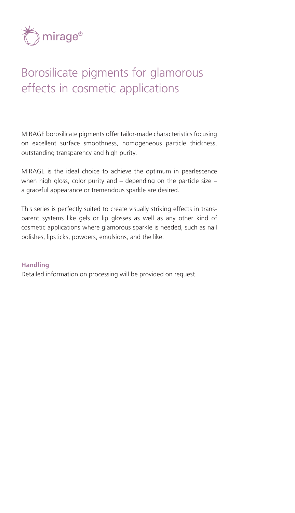

## Borosilicate pigments for glamorous effects in cosmetic applications

MIRAGE borosilicate pigments offer tailor-made characteristics focusing on excellent surface smoothness, homogeneous particle thickness, outstanding transparency and high purity.

MIRAGE is the ideal choice to achieve the optimum in pearlescence when high gloss, color purity and  $-$  depending on the particle size  $$ a graceful appearance or tremendous sparkle are desired.

This series is perfectly suited to create visually striking effects in transparent systems like gels or lip glosses as well as any other kind of cosmetic applications where glamorous sparkle is needed, such as nail polishes, lipsticks, powders, emulsions, and the like.

### **Handling**

Detailed information on processing will be provided on request.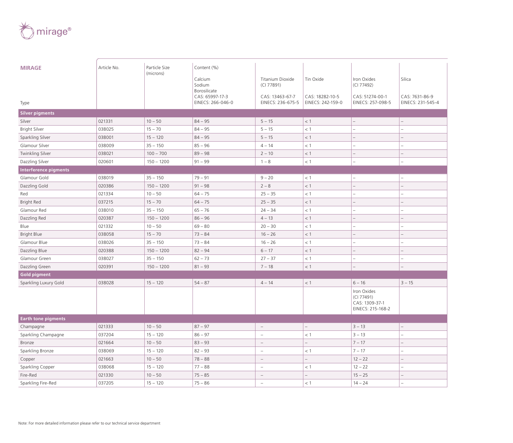

| <b>MIRAGE</b>                | Article No. | Particle Size<br>(microns) | Content (%)<br>Calcium          | Titanium Dioxide         | Tin Oxide                | Iron Oxides                                                      | Silica            |
|------------------------------|-------------|----------------------------|---------------------------------|--------------------------|--------------------------|------------------------------------------------------------------|-------------------|
|                              |             |                            | Sodium                          | (CI 77891)               |                          | (CI 77492)                                                       |                   |
|                              |             |                            | Borosilicate<br>CAS: 65997-17-3 | CAS: 13463-67-7          | CAS: 18282-10-5          | CAS: 51274-00-1                                                  | CAS: 7631-86-9    |
| Type                         |             |                            | EINECS: 266-046-0               | EINECS: 236-675-5        | EINECS: 242-159-0        | EINECS: 257-098-5                                                | EINECS: 231-545-4 |
| <b>Silver pigments</b>       |             |                            |                                 |                          |                          |                                                                  |                   |
| Silver                       | 021331      | $10 - 50$                  | $84 - 95$                       | $5 - 15$                 | $<$ 1                    | $-$                                                              |                   |
| <b>Bright Silver</b>         | 038025      | $15 - 70$                  | $84 - 95$                       | $5 - 15$                 | < 1                      |                                                                  |                   |
| Sparkling Silver             | 038001      | $15 - 120$                 | $84 - 95$                       | $5 - 15$                 | $<$ 1                    |                                                                  |                   |
| Glamour Silver               | 038009      | $35 - 150$                 | $85 - 96$                       | $4 - 14$                 | < 1                      |                                                                  |                   |
| Twinkling Silver             | 038021      | $100 - 700$                | $89 - 98$                       | $2 - 10$                 | < 1                      | $\overline{\phantom{a}}$                                         |                   |
| Dazzling Silver              | 020601      | $150 - 1200$               | $91 - 99$                       | $1 - 8$                  | < 1                      | i.                                                               |                   |
| <b>Interference pigments</b> |             |                            |                                 |                          |                          |                                                                  |                   |
| Glamour Gold                 | 038019      | $35 - 150$                 | $79 - 91$                       | $9 - 20$                 | < 1                      | ÷                                                                |                   |
| Dazzling Gold                | 020386      | $150 - 1200$               | $91 - 98$                       | $2 - 8$                  | < 1                      |                                                                  |                   |
| Red                          | 021334      | $10 - 50$                  | $64 - 75$                       | $25 - 35$                | $<\,1$                   |                                                                  |                   |
| <b>Bright Red</b>            | 037215      | $15 - 70$                  | $64 - 75$                       | $25 - 35$                | $<\,1$                   |                                                                  |                   |
| Glamour Red                  | 038010      | $35 - 150$                 | $65 - 76$                       | $24 - 34$                | < 1                      | L                                                                |                   |
| Dazzling Red                 | 020387      | $150 - 1200$               | $86 - 96$                       | $4 - 13$                 | < 1                      |                                                                  |                   |
| Blue                         | 021332      | $10 - 50$                  | $69 - 80$                       | $20 - 30$                | < 1                      |                                                                  |                   |
| <b>Bright Blue</b>           | 038058      | $15 - 70$                  | $73 - 84$                       | $16 - 26$                | $<\,1$                   | $\overline{\phantom{0}}$                                         |                   |
| Glamour Blue                 | 038026      | $35 - 150$                 | $73 - 84$                       | $16 - 26$                | < 1                      | L.                                                               |                   |
| Dazzling Blue                | 020388      | $150 - 1200$               | $82 - 94$                       | $6 - 17$                 | $<\,1$                   |                                                                  |                   |
| Glamour Green                | 038027      | $35 - 150$                 | $62 - 73$                       | $27 - 37$                | < 1                      |                                                                  |                   |
| Dazzling Green               | 020391      | $150 - 1200$               | $81 - 93$                       | $7 - 18$                 | < 1                      |                                                                  |                   |
| <b>Gold pigment</b>          |             |                            |                                 |                          |                          |                                                                  |                   |
| Sparkling Luxury Gold        | 038028      | $15 - 120$                 | $54 - 87$                       | $4 - 14$                 | < 1                      | $6 - 16$                                                         | $3 - 15$          |
|                              |             |                            |                                 |                          |                          | Iron Oxides<br>(CI 77491)<br>CAS: 1309-37-1<br>EINECS: 215-168-2 |                   |
| <b>Earth tone pigments</b>   |             |                            |                                 |                          |                          |                                                                  |                   |
| Champagne                    | 021333      | $10 - 50$                  | $87 - 97$                       | $\overline{\phantom{a}}$ | $\overline{\phantom{0}}$ | $3 - 13$                                                         |                   |
| Sparkling Champagne          | 037204      | $15 - 120$                 | $86 - 97$                       | $\sim$                   | $<$ 1                    | $3 - 13$                                                         |                   |
| Bronze                       | 021664      | $10 - 50$                  | $83 - 93$                       | $\overline{\phantom{a}}$ | $\qquad \qquad -$        | $7 - 17$                                                         |                   |
| Sparkling Bronze             | 038069      | $15 - 120$                 | $82 - 93$                       | $\overline{\phantom{a}}$ | < 1                      | $7 - 17$                                                         |                   |
| Copper                       | 021663      | $10 - 50$                  | $78 - 88$                       | $\equiv$                 |                          | $12 - 22$                                                        |                   |
| Sparkling Copper             | 038068      | $15 - 120$                 | $77 - 88$                       | $\overline{\phantom{a}}$ | $<$ 1                    | $12 - 22$                                                        |                   |
| Fire-Red                     | 021330      | $10 - 50$                  | $75 - 85$                       | $\equiv$                 |                          | $15 - 25$                                                        |                   |
| Sparkling Fire-Red           | 037205      | $15 - 120$                 | $75 - 86$                       | ÷,                       | $<$ 1                    | $14 - 24$                                                        |                   |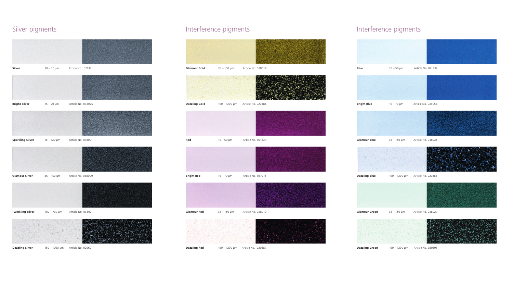**Red** 10 – 50 µm Article No. 021334 **Bright Red** 15 – 70 µm Article No. 037215

**Glamour Red** 35 – 150 μm Article No. 038010

**Dazzling Gold** 150 – 1200 μm Article No. 020386





## Silver pigments

# Interference pigments and the Interference pigments **Glamour Gold** 35 – 150 µm Article No. 038019

**Dazzling Green** 150 – 1200 µm Article No. 020391



**Dazzling Silver** 150 – 1200 μm Article No. 020601





**Dazzling Red** 150 – 1200 μm Article No. 020387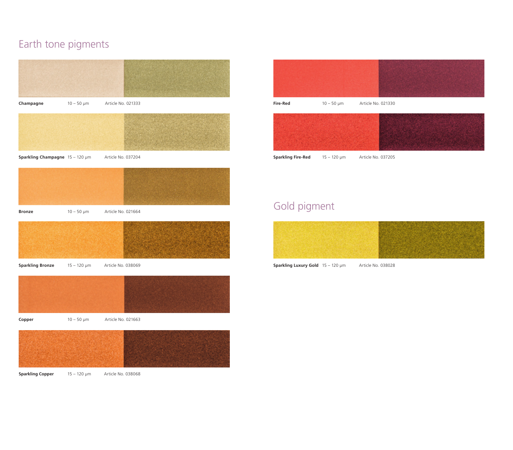## Earth tone pigments





**Sparkling Fire-Red** 15 – 120 µm Article No. 037205

## Gold pigment



**Sparkling Luxury Gold** 15 – 120 µm Article No. 038028

**Sparkling Copper** 15 – 120 µm Article No. 038068